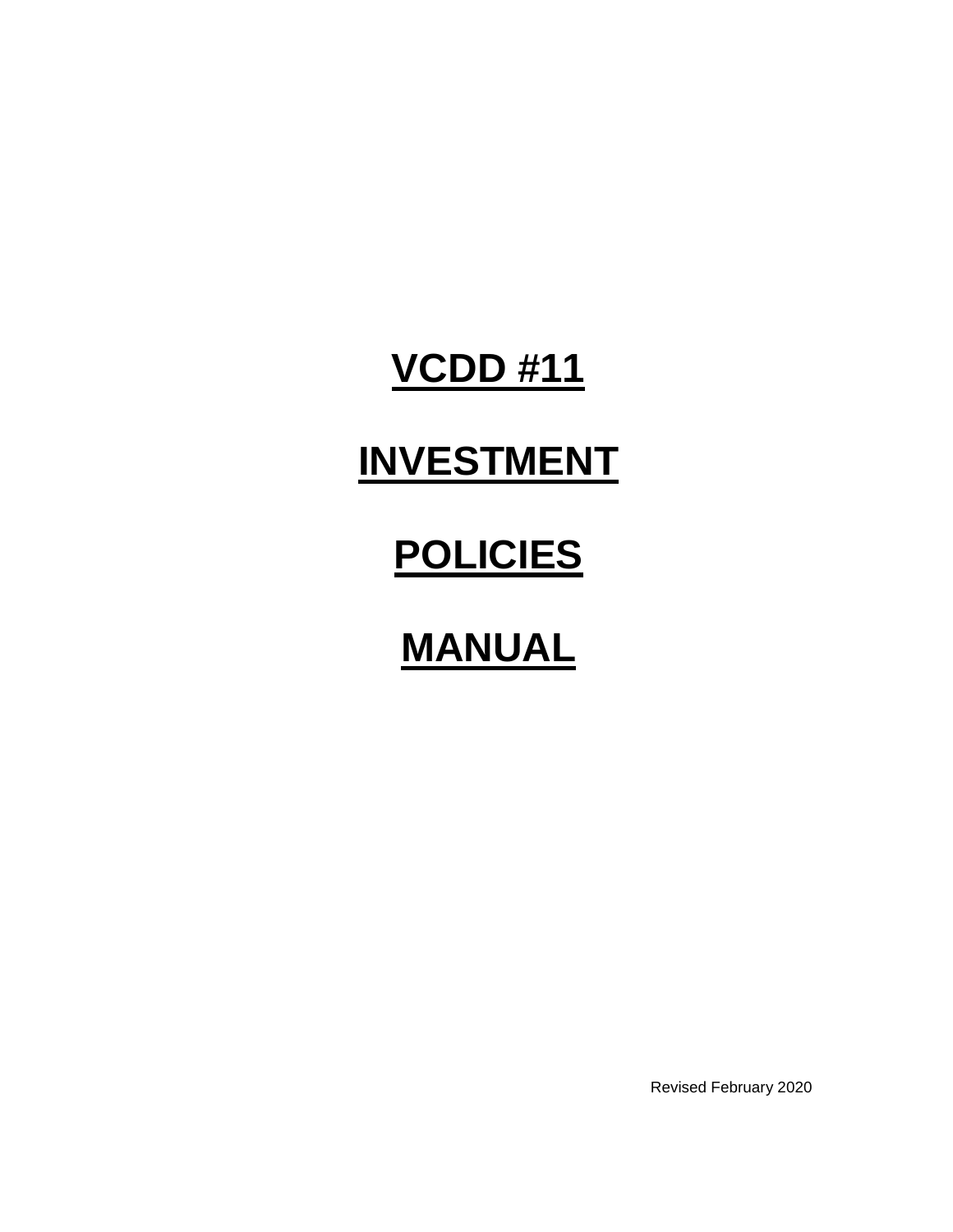### **VCDD #11**

# **INVESTMENT**

# **POLICIES**

## **MANUAL**

Revised February 2020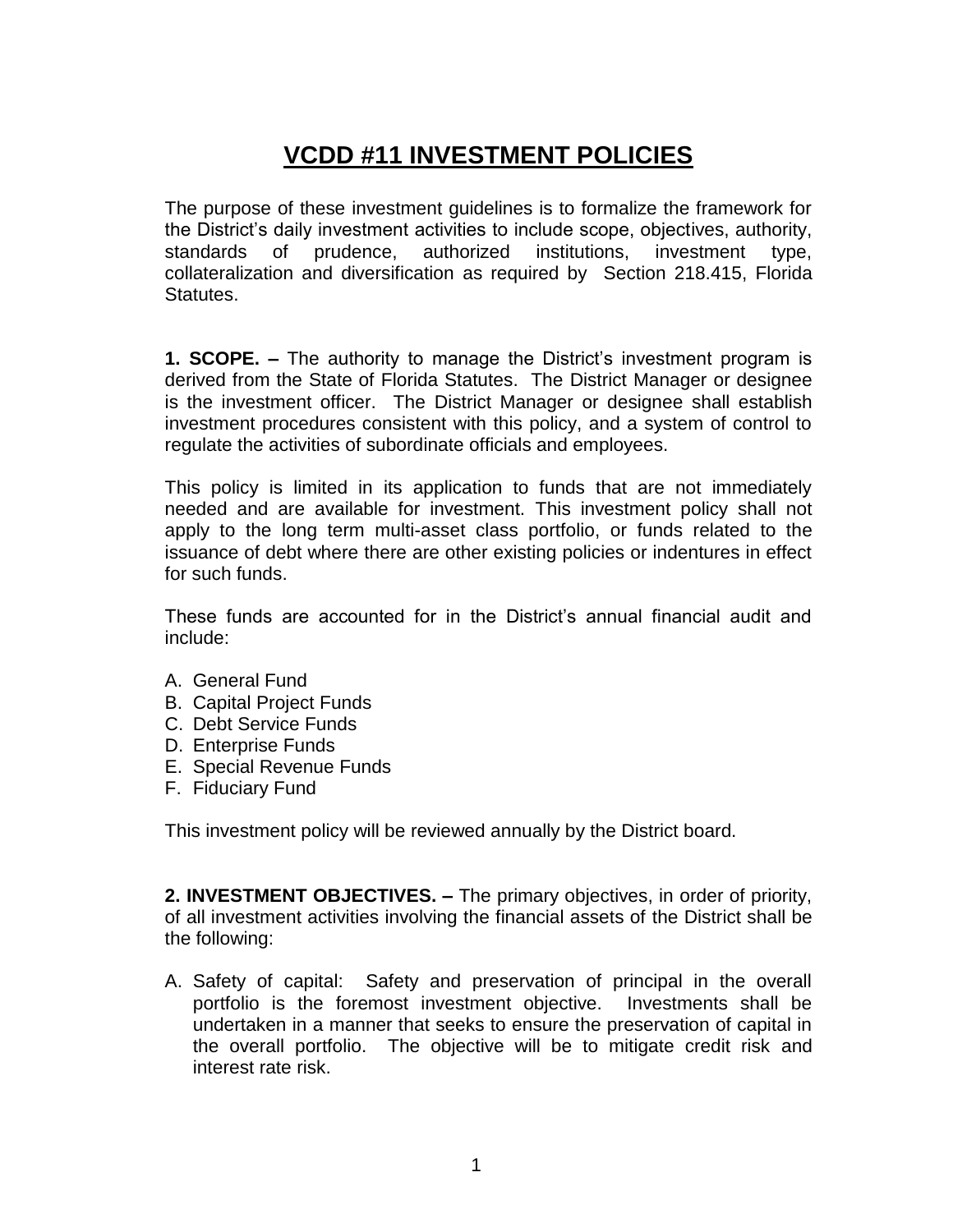#### **VCDD #11 INVESTMENT POLICIES**

The purpose of these investment guidelines is to formalize the framework for the District's daily investment activities to include scope, objectives, authority, standards of prudence, authorized institutions, investment type, collateralization and diversification as required by Section 218.415, Florida Statutes.

**1. SCOPE. –** The authority to manage the District's investment program is derived from the State of Florida Statutes. The District Manager or designee is the investment officer. The District Manager or designee shall establish investment procedures consistent with this policy, and a system of control to regulate the activities of subordinate officials and employees.

This policy is limited in its application to funds that are not immediately needed and are available for investment. This investment policy shall not apply to the long term multi-asset class portfolio, or funds related to the issuance of debt where there are other existing policies or indentures in effect for such funds.

These funds are accounted for in the District's annual financial audit and include:

- A. General Fund
- B. Capital Project Funds
- C. Debt Service Funds
- D. Enterprise Funds
- E. Special Revenue Funds
- F. Fiduciary Fund

This investment policy will be reviewed annually by the District board.

**2. INVESTMENT OBJECTIVES. –** The primary objectives, in order of priority, of all investment activities involving the financial assets of the District shall be the following:

A. Safety of capital: Safety and preservation of principal in the overall portfolio is the foremost investment objective. Investments shall be undertaken in a manner that seeks to ensure the preservation of capital in the overall portfolio. The objective will be to mitigate credit risk and interest rate risk.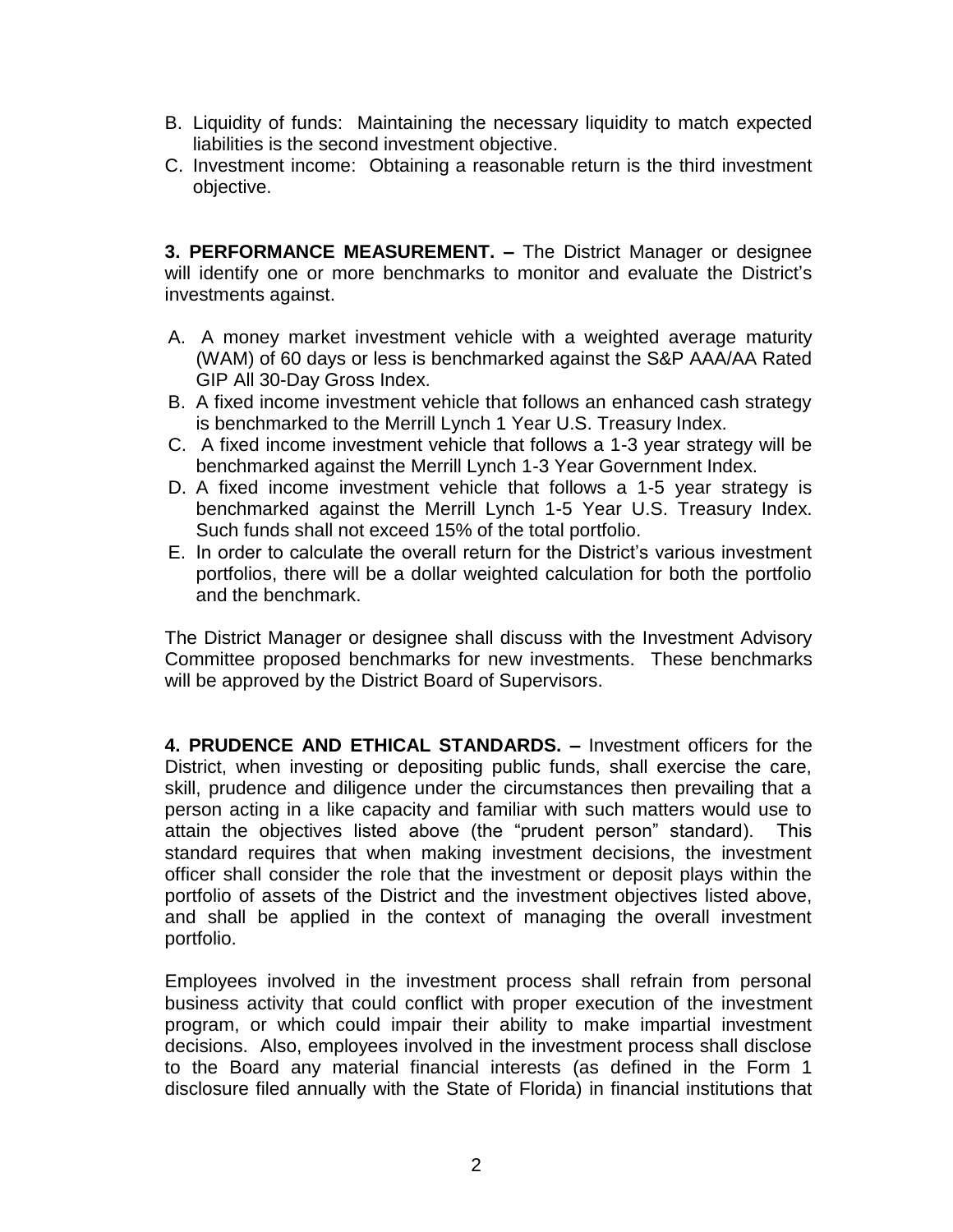- B. Liquidity of funds: Maintaining the necessary liquidity to match expected liabilities is the second investment objective.
- C. Investment income: Obtaining a reasonable return is the third investment objective.

**3. PERFORMANCE MEASUREMENT. –** The District Manager or designee will identify one or more benchmarks to monitor and evaluate the District's investments against.

- A. A money market investment vehicle with a weighted average maturity (WAM) of 60 days or less is benchmarked against the S&P AAA/AA Rated GIP All 30-Day Gross Index.
- B. A fixed income investment vehicle that follows an enhanced cash strategy is benchmarked to the Merrill Lynch 1 Year U.S. Treasury Index.
- C. A fixed income investment vehicle that follows a 1-3 year strategy will be benchmarked against the Merrill Lynch 1-3 Year Government Index.
- D. A fixed income investment vehicle that follows a 1-5 year strategy is benchmarked against the Merrill Lynch 1-5 Year U.S. Treasury Index. Such funds shall not exceed 15% of the total portfolio.
- E. In order to calculate the overall return for the District's various investment portfolios, there will be a dollar weighted calculation for both the portfolio and the benchmark.

The District Manager or designee shall discuss with the Investment Advisory Committee proposed benchmarks for new investments. These benchmarks will be approved by the District Board of Supervisors.

**4. PRUDENCE AND ETHICAL STANDARDS. –** Investment officers for the District, when investing or depositing public funds, shall exercise the care, skill, prudence and diligence under the circumstances then prevailing that a person acting in a like capacity and familiar with such matters would use to attain the objectives listed above (the "prudent person" standard). This standard requires that when making investment decisions, the investment officer shall consider the role that the investment or deposit plays within the portfolio of assets of the District and the investment objectives listed above, and shall be applied in the context of managing the overall investment portfolio.

Employees involved in the investment process shall refrain from personal business activity that could conflict with proper execution of the investment program, or which could impair their ability to make impartial investment decisions. Also, employees involved in the investment process shall disclose to the Board any material financial interests (as defined in the Form 1 disclosure filed annually with the State of Florida) in financial institutions that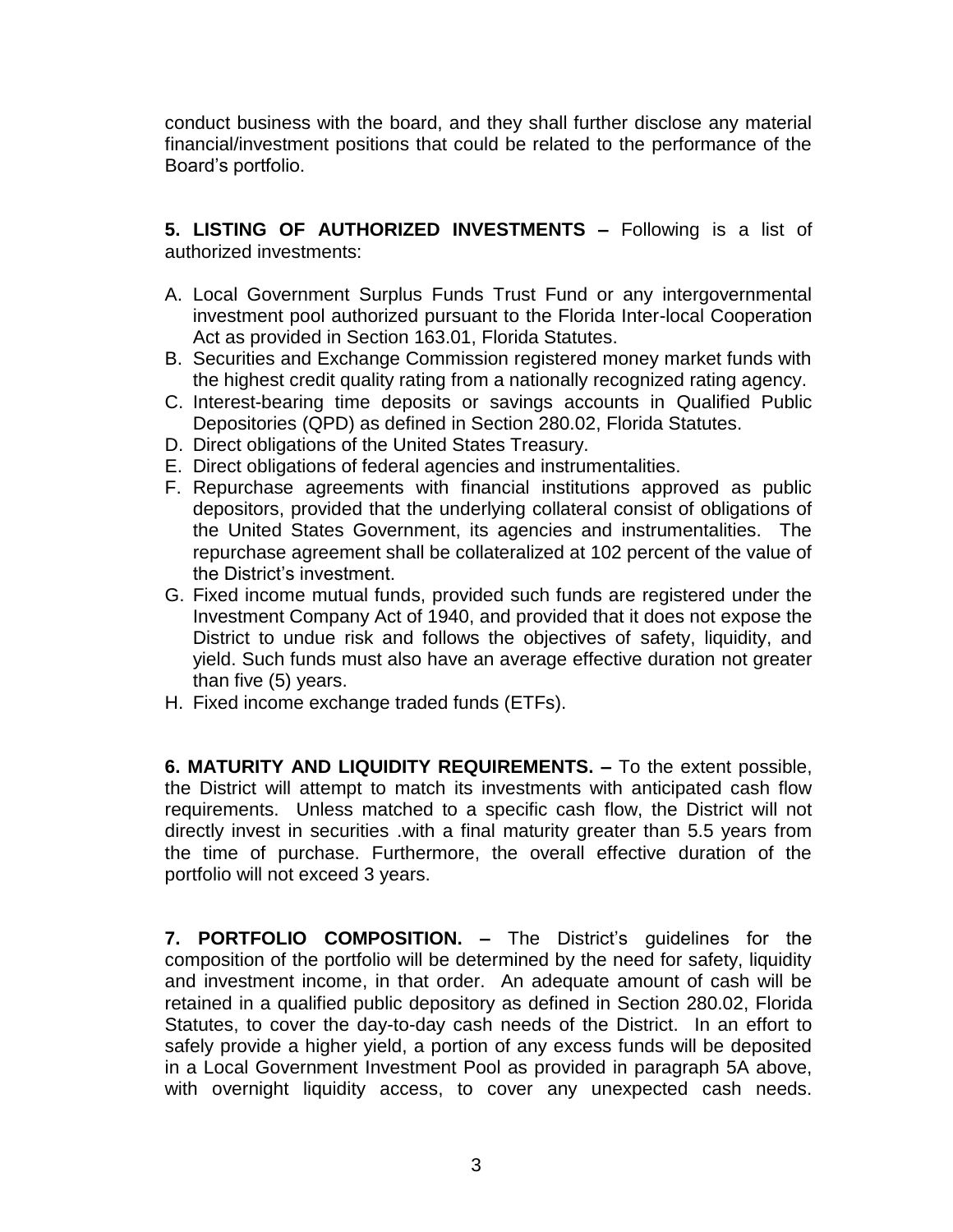conduct business with the board, and they shall further disclose any material financial/investment positions that could be related to the performance of the Board's portfolio.

**5. LISTING OF AUTHORIZED INVESTMENTS –** Following is a list of authorized investments:

- A. Local Government Surplus Funds Trust Fund or any intergovernmental investment pool authorized pursuant to the Florida Inter-local Cooperation Act as provided in Section 163.01, Florida Statutes.
- B. Securities and Exchange Commission registered money market funds with the highest credit quality rating from a nationally recognized rating agency.
- C. Interest-bearing time deposits or savings accounts in Qualified Public Depositories (QPD) as defined in Section 280.02, Florida Statutes.
- D. Direct obligations of the United States Treasury.
- E. Direct obligations of federal agencies and instrumentalities.
- F. Repurchase agreements with financial institutions approved as public depositors, provided that the underlying collateral consist of obligations of the United States Government, its agencies and instrumentalities. The repurchase agreement shall be collateralized at 102 percent of the value of the District's investment.
- G. Fixed income mutual funds, provided such funds are registered under the Investment Company Act of 1940, and provided that it does not expose the District to undue risk and follows the objectives of safety, liquidity, and yield. Such funds must also have an average effective duration not greater than five (5) years.
- H. Fixed income exchange traded funds (ETFs).

**6. MATURITY AND LIQUIDITY REQUIREMENTS. –** To the extent possible, the District will attempt to match its investments with anticipated cash flow requirements. Unless matched to a specific cash flow, the District will not directly invest in securities .with a final maturity greater than 5.5 years from the time of purchase. Furthermore, the overall effective duration of the portfolio will not exceed 3 years.

**7. PORTFOLIO COMPOSITION. –** The District's guidelines for the composition of the portfolio will be determined by the need for safety, liquidity and investment income, in that order. An adequate amount of cash will be retained in a qualified public depository as defined in Section 280.02, Florida Statutes, to cover the day-to-day cash needs of the District. In an effort to safely provide a higher yield, a portion of any excess funds will be deposited in a Local Government Investment Pool as provided in paragraph 5A above, with overnight liquidity access, to cover any unexpected cash needs.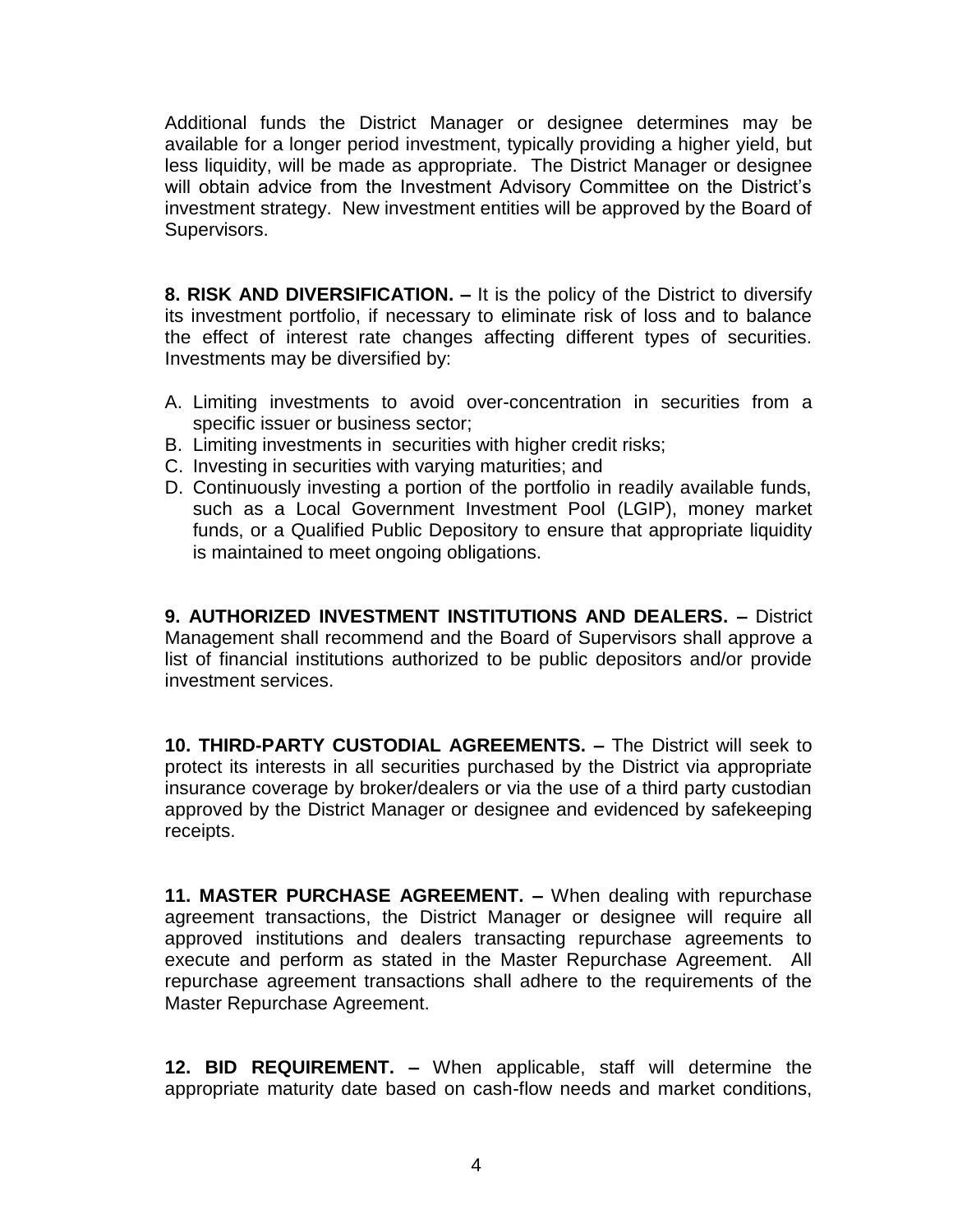Additional funds the District Manager or designee determines may be available for a longer period investment, typically providing a higher yield, but less liquidity, will be made as appropriate. The District Manager or designee will obtain advice from the Investment Advisory Committee on the District's investment strategy. New investment entities will be approved by the Board of Supervisors.

**8. RISK AND DIVERSIFICATION. –** It is the policy of the District to diversify its investment portfolio, if necessary to eliminate risk of loss and to balance the effect of interest rate changes affecting different types of securities. Investments may be diversified by:

- A. Limiting investments to avoid over-concentration in securities from a specific issuer or business sector;
- B. Limiting investments in securities with higher credit risks;
- C. Investing in securities with varying maturities; and
- D. Continuously investing a portion of the portfolio in readily available funds, such as a Local Government Investment Pool (LGIP), money market funds, or a Qualified Public Depository to ensure that appropriate liquidity is maintained to meet ongoing obligations.

**9. AUTHORIZED INVESTMENT INSTITUTIONS AND DEALERS. –** District Management shall recommend and the Board of Supervisors shall approve a list of financial institutions authorized to be public depositors and/or provide investment services.

**10. THIRD-PARTY CUSTODIAL AGREEMENTS. –** The District will seek to protect its interests in all securities purchased by the District via appropriate insurance coverage by broker/dealers or via the use of a third party custodian approved by the District Manager or designee and evidenced by safekeeping receipts.

**11. MASTER PURCHASE AGREEMENT. –** When dealing with repurchase agreement transactions, the District Manager or designee will require all approved institutions and dealers transacting repurchase agreements to execute and perform as stated in the Master Repurchase Agreement. All repurchase agreement transactions shall adhere to the requirements of the Master Repurchase Agreement.

**12. BID REQUIREMENT. –** When applicable, staff will determine the appropriate maturity date based on cash-flow needs and market conditions,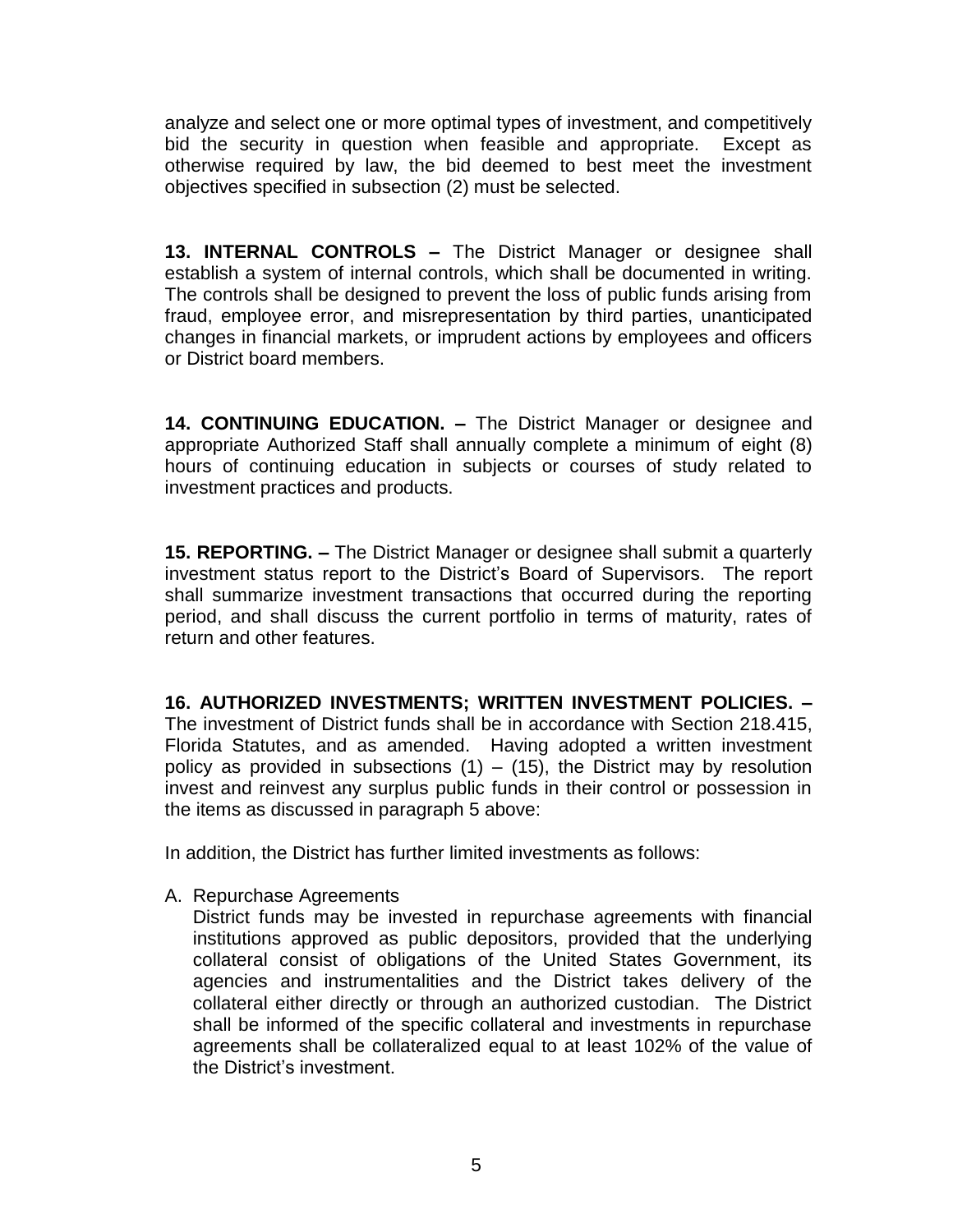analyze and select one or more optimal types of investment, and competitively bid the security in question when feasible and appropriate. Except as otherwise required by law, the bid deemed to best meet the investment objectives specified in subsection (2) must be selected.

**13. INTERNAL CONTROLS –** The District Manager or designee shall establish a system of internal controls, which shall be documented in writing. The controls shall be designed to prevent the loss of public funds arising from fraud, employee error, and misrepresentation by third parties, unanticipated changes in financial markets, or imprudent actions by employees and officers or District board members.

**14. CONTINUING EDUCATION. –** The District Manager or designee and appropriate Authorized Staff shall annually complete a minimum of eight (8) hours of continuing education in subjects or courses of study related to investment practices and products.

**15. REPORTING. –** The District Manager or designee shall submit a quarterly investment status report to the District's Board of Supervisors. The report shall summarize investment transactions that occurred during the reporting period, and shall discuss the current portfolio in terms of maturity, rates of return and other features.

**16. AUTHORIZED INVESTMENTS; WRITTEN INVESTMENT POLICIES. –** The investment of District funds shall be in accordance with Section 218.415, Florida Statutes, and as amended. Having adopted a written investment policy as provided in subsections  $(1) - (15)$ , the District may by resolution invest and reinvest any surplus public funds in their control or possession in the items as discussed in paragraph 5 above:

In addition, the District has further limited investments as follows:

A. Repurchase Agreements

District funds may be invested in repurchase agreements with financial institutions approved as public depositors, provided that the underlying collateral consist of obligations of the United States Government, its agencies and instrumentalities and the District takes delivery of the collateral either directly or through an authorized custodian. The District shall be informed of the specific collateral and investments in repurchase agreements shall be collateralized equal to at least 102% of the value of the District's investment.